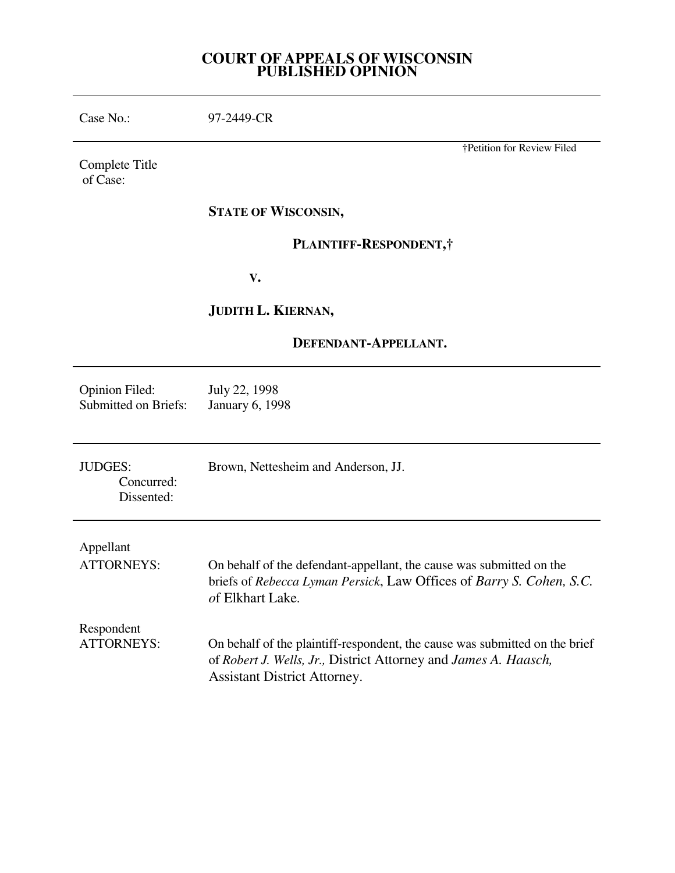## **COURT OF APPEALS OF WISCONSIN PUBLISHED OPINION**

| Case No.:                                            | 97-2449-CR                                                                                                                                                                            |
|------------------------------------------------------|---------------------------------------------------------------------------------------------------------------------------------------------------------------------------------------|
| Complete Title<br>of Case:                           | †Petition for Review Filed                                                                                                                                                            |
|                                                      | <b>STATE OF WISCONSIN,</b>                                                                                                                                                            |
|                                                      | PLAINTIFF-RESPONDENT,                                                                                                                                                                 |
|                                                      | V.                                                                                                                                                                                    |
|                                                      | JUDITH L. KIERNAN,                                                                                                                                                                    |
| DEFENDANT-APPELLANT.                                 |                                                                                                                                                                                       |
| <b>Opinion Filed:</b><br><b>Submitted on Briefs:</b> | July 22, 1998<br><b>January 6, 1998</b>                                                                                                                                               |
| <b>JUDGES:</b><br>Concurred:<br>Dissented:           | Brown, Nettesheim and Anderson, JJ.                                                                                                                                                   |
| Appellant<br><b>ATTORNEYS:</b>                       | On behalf of the defendant-appellant, the cause was submitted on the<br>briefs of Rebecca Lyman Persick, Law Offices of Barry S. Cohen, S.C.<br><i>of Elkhart Lake.</i>               |
| Respondent<br><b>ATTORNEYS:</b>                      | On behalf of the plaintiff-respondent, the cause was submitted on the brief<br>of Robert J. Wells, Jr., District Attorney and James A. Haasch,<br><b>Assistant District Attorney.</b> |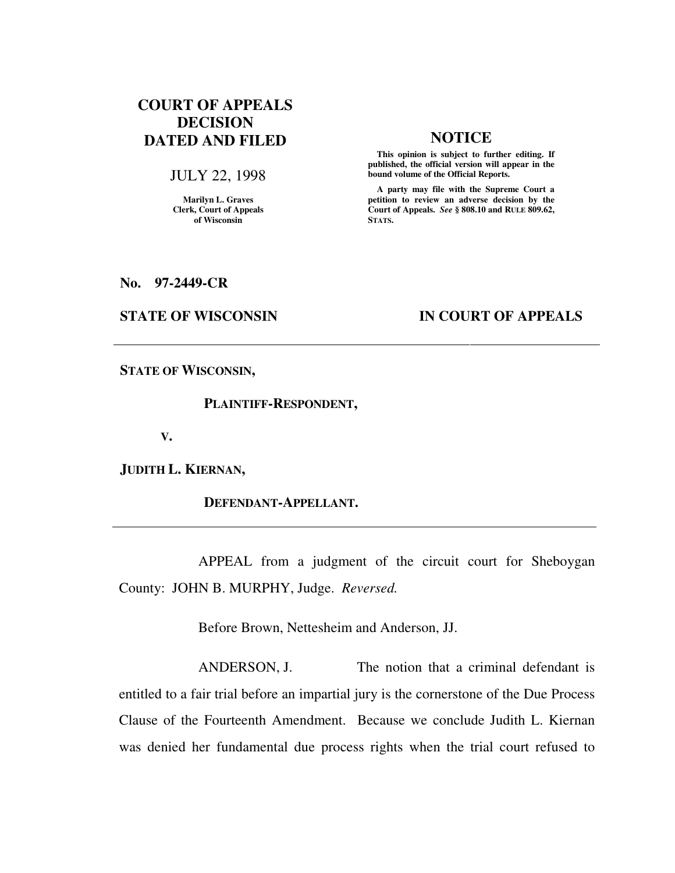# **COURT OF APPEALS DECISION DATED AND FILED NOTICE**

### JULY 22, 1998

**Marilyn L. Graves Clerk, Court of Appeals of Wisconsin** 

 **This opinion is subject to further editing. If published, the official version will appear in the bound volume of the Official Reports.**

 **A party may file with the Supreme Court a petition to review an adverse decision by the Court of Appeals.** *See* **§ 808.10 and RULE 809.62, STATS.** 

**No. 97-2449-CR** 

## **STATE OF WISCONSIN IN COURT OF APPEALS**

**STATE OF WISCONSIN,** 

### **PLAINTIFF-RESPONDENT,**

 **V.** 

**JUDITH L. KIERNAN,** 

 **DEFENDANT-APPELLANT.** 

 APPEAL from a judgment of the circuit court for Sheboygan County: JOHN B. MURPHY, Judge. *Reversed.*

Before Brown, Nettesheim and Anderson, JJ.

ANDERSON, J. The notion that a criminal defendant is entitled to a fair trial before an impartial jury is the cornerstone of the Due Process Clause of the Fourteenth Amendment. Because we conclude Judith L. Kiernan was denied her fundamental due process rights when the trial court refused to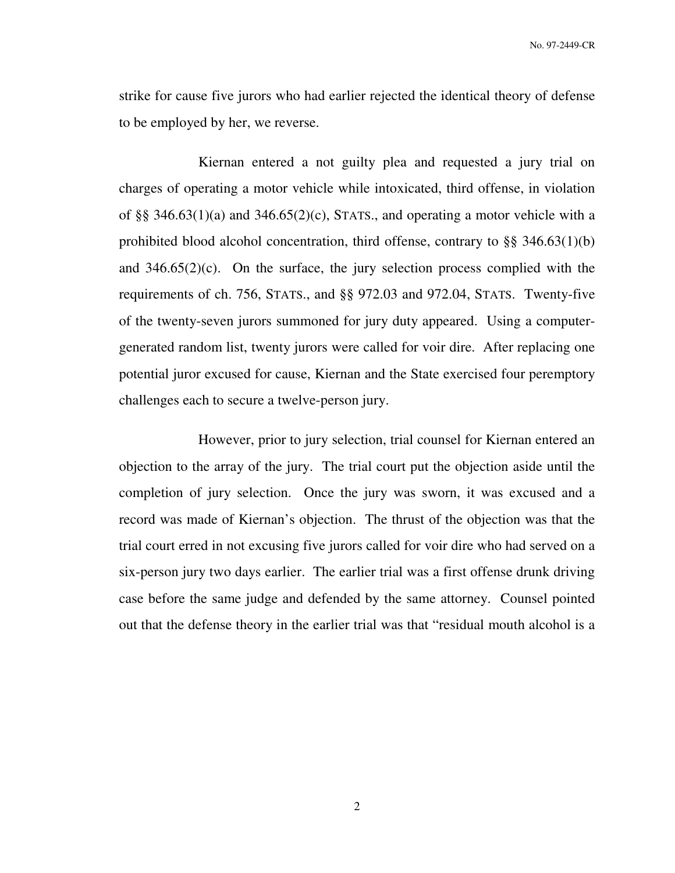strike for cause five jurors who had earlier rejected the identical theory of defense to be employed by her, we reverse.

 Kiernan entered a not guilty plea and requested a jury trial on charges of operating a motor vehicle while intoxicated, third offense, in violation of §§ 346.63(1)(a) and 346.65(2)(c), STATS., and operating a motor vehicle with a prohibited blood alcohol concentration, third offense, contrary to §§ 346.63(1)(b) and 346.65(2)(c). On the surface, the jury selection process complied with the requirements of ch. 756, STATS., and §§ 972.03 and 972.04, STATS. Twenty-five of the twenty-seven jurors summoned for jury duty appeared. Using a computergenerated random list, twenty jurors were called for voir dire. After replacing one potential juror excused for cause, Kiernan and the State exercised four peremptory challenges each to secure a twelve-person jury.

 However, prior to jury selection, trial counsel for Kiernan entered an objection to the array of the jury. The trial court put the objection aside until the completion of jury selection. Once the jury was sworn, it was excused and a record was made of Kiernan's objection. The thrust of the objection was that the trial court erred in not excusing five jurors called for voir dire who had served on a six-person jury two days earlier. The earlier trial was a first offense drunk driving case before the same judge and defended by the same attorney. Counsel pointed out that the defense theory in the earlier trial was that "residual mouth alcohol is a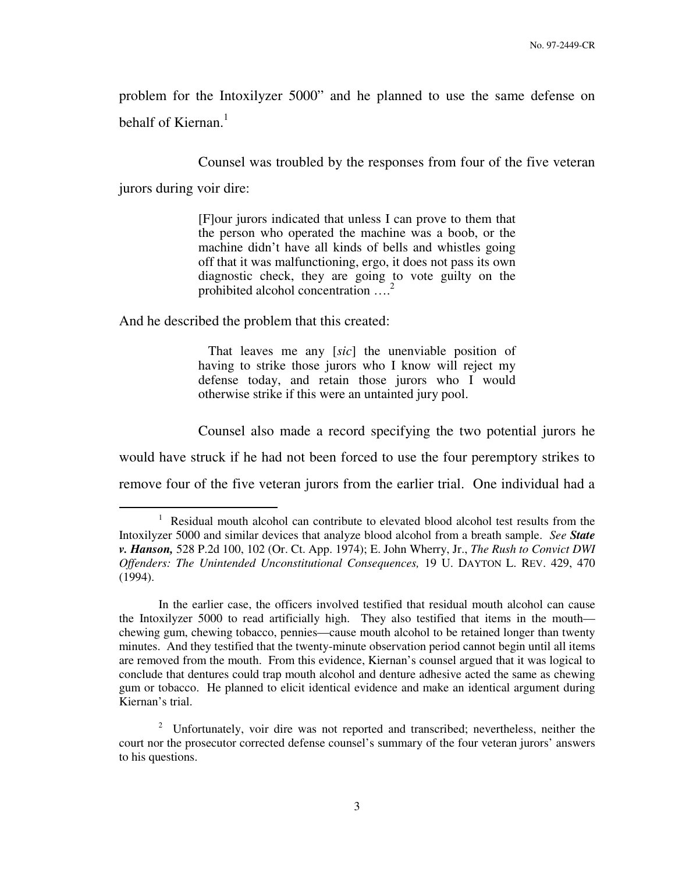problem for the Intoxilyzer 5000" and he planned to use the same defense on behalf of Kiernan. $<sup>1</sup>$ </sup>

Counsel was troubled by the responses from four of the five veteran

jurors during voir dire:

 $\overline{a}$ 

[F]our jurors indicated that unless I can prove to them that the person who operated the machine was a boob, or the machine didn't have all kinds of bells and whistles going off that it was malfunctioning, ergo, it does not pass its own diagnostic check, they are going to vote guilty on the prohibited alcohol concentration ....<sup>2</sup>

And he described the problem that this created:

 That leaves me any [*sic*] the unenviable position of having to strike those jurors who I know will reject my defense today, and retain those jurors who I would otherwise strike if this were an untainted jury pool.

 Counsel also made a record specifying the two potential jurors he would have struck if he had not been forced to use the four peremptory strikes to remove four of the five veteran jurors from the earlier trial. One individual had a

In the earlier case, the officers involved testified that residual mouth alcohol can cause the Intoxilyzer 5000 to read artificially high. They also testified that items in the mouth chewing gum, chewing tobacco, pennies—cause mouth alcohol to be retained longer than twenty minutes. And they testified that the twenty-minute observation period cannot begin until all items are removed from the mouth. From this evidence, Kiernan's counsel argued that it was logical to conclude that dentures could trap mouth alcohol and denture adhesive acted the same as chewing gum or tobacco. He planned to elicit identical evidence and make an identical argument during Kiernan's trial.

2 Unfortunately, voir dire was not reported and transcribed; nevertheless, neither the court nor the prosecutor corrected defense counsel's summary of the four veteran jurors' answers to his questions.

<sup>&</sup>lt;sup>1</sup> Residual mouth alcohol can contribute to elevated blood alcohol test results from the Intoxilyzer 5000 and similar devices that analyze blood alcohol from a breath sample. *See State v. Hanson,* 528 P.2d 100, 102 (Or. Ct. App. 1974); E. John Wherry, Jr., *The Rush to Convict DWI Offenders: The Unintended Unconstitutional Consequences,* 19 U. DAYTON L. REV. 429, 470 (1994).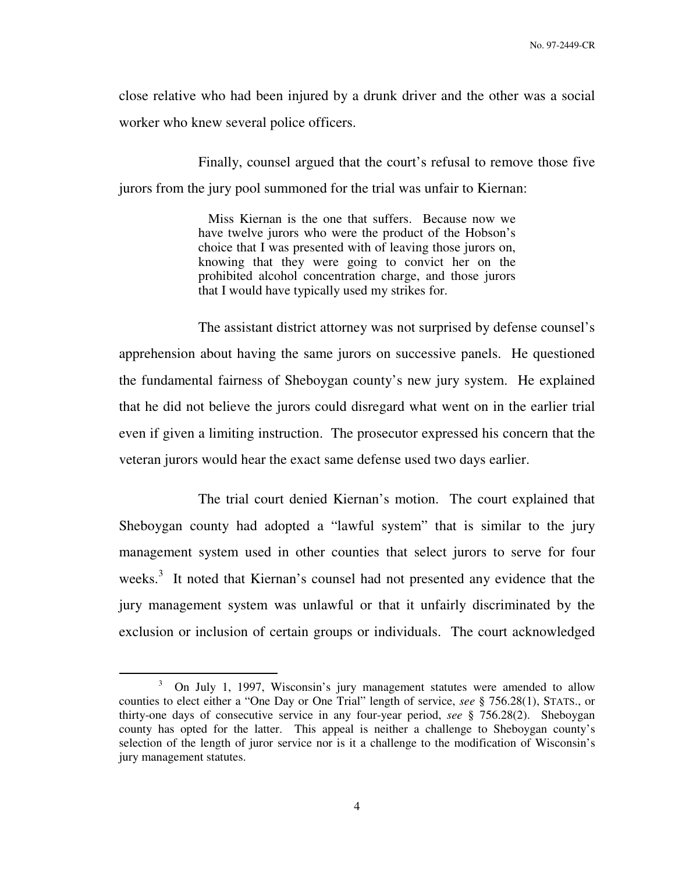close relative who had been injured by a drunk driver and the other was a social worker who knew several police officers.

 Finally, counsel argued that the court's refusal to remove those five jurors from the jury pool summoned for the trial was unfair to Kiernan:

> Miss Kiernan is the one that suffers. Because now we have twelve jurors who were the product of the Hobson's choice that I was presented with of leaving those jurors on, knowing that they were going to convict her on the prohibited alcohol concentration charge, and those jurors that I would have typically used my strikes for.

 The assistant district attorney was not surprised by defense counsel's apprehension about having the same jurors on successive panels. He questioned the fundamental fairness of Sheboygan county's new jury system. He explained that he did not believe the jurors could disregard what went on in the earlier trial even if given a limiting instruction. The prosecutor expressed his concern that the veteran jurors would hear the exact same defense used two days earlier.

 The trial court denied Kiernan's motion. The court explained that Sheboygan county had adopted a "lawful system" that is similar to the jury management system used in other counties that select jurors to serve for four weeks.<sup>3</sup> It noted that Kiernan's counsel had not presented any evidence that the jury management system was unlawful or that it unfairly discriminated by the exclusion or inclusion of certain groups or individuals. The court acknowledged

<sup>3</sup> On July 1, 1997, Wisconsin's jury management statutes were amended to allow counties to elect either a "One Day or One Trial" length of service, *see* § 756.28(1), STATS., or thirty-one days of consecutive service in any four-year period, *see* § 756.28(2). Sheboygan county has opted for the latter. This appeal is neither a challenge to Sheboygan county's selection of the length of juror service nor is it a challenge to the modification of Wisconsin's jury management statutes.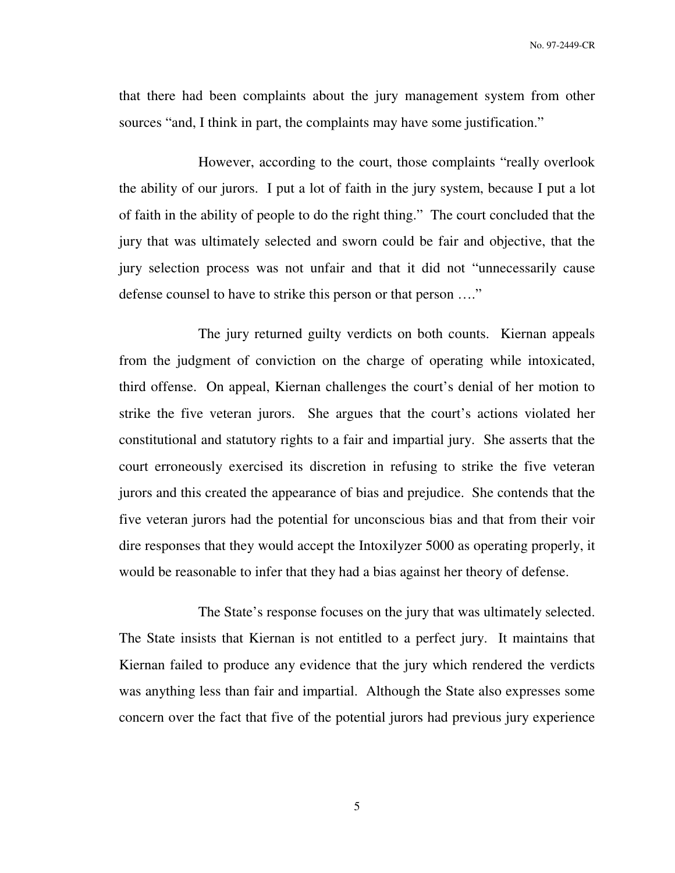that there had been complaints about the jury management system from other sources "and, I think in part, the complaints may have some justification."

 However, according to the court, those complaints "really overlook the ability of our jurors. I put a lot of faith in the jury system, because I put a lot of faith in the ability of people to do the right thing." The court concluded that the jury that was ultimately selected and sworn could be fair and objective, that the jury selection process was not unfair and that it did not "unnecessarily cause defense counsel to have to strike this person or that person …."

 The jury returned guilty verdicts on both counts. Kiernan appeals from the judgment of conviction on the charge of operating while intoxicated, third offense. On appeal, Kiernan challenges the court's denial of her motion to strike the five veteran jurors. She argues that the court's actions violated her constitutional and statutory rights to a fair and impartial jury. She asserts that the court erroneously exercised its discretion in refusing to strike the five veteran jurors and this created the appearance of bias and prejudice. She contends that the five veteran jurors had the potential for unconscious bias and that from their voir dire responses that they would accept the Intoxilyzer 5000 as operating properly, it would be reasonable to infer that they had a bias against her theory of defense.

 The State's response focuses on the jury that was ultimately selected. The State insists that Kiernan is not entitled to a perfect jury. It maintains that Kiernan failed to produce any evidence that the jury which rendered the verdicts was anything less than fair and impartial. Although the State also expresses some concern over the fact that five of the potential jurors had previous jury experience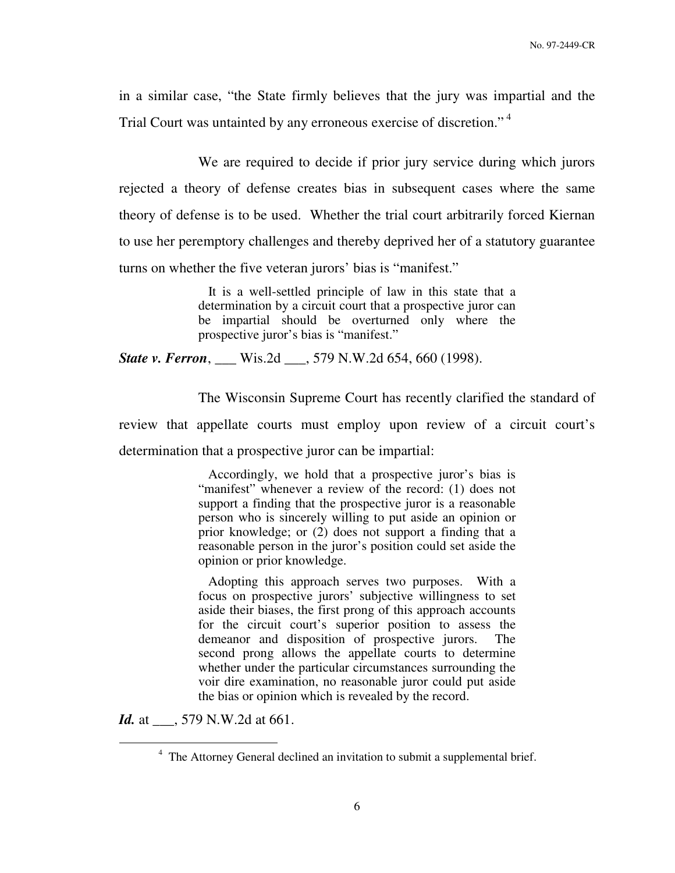in a similar case, "the State firmly believes that the jury was impartial and the Trial Court was untainted by any erroneous exercise of discretion."<sup>4</sup>

 We are required to decide if prior jury service during which jurors rejected a theory of defense creates bias in subsequent cases where the same theory of defense is to be used. Whether the trial court arbitrarily forced Kiernan to use her peremptory challenges and thereby deprived her of a statutory guarantee turns on whether the five veteran jurors' bias is "manifest."

> It is a well-settled principle of law in this state that a determination by a circuit court that a prospective juror can be impartial should be overturned only where the prospective juror's bias is "manifest."

*State v. Ferron*, \_\_\_ Wis.2d \_\_\_, 579 N.W.2d 654, 660 (1998).

 The Wisconsin Supreme Court has recently clarified the standard of review that appellate courts must employ upon review of a circuit court's determination that a prospective juror can be impartial:

> Accordingly, we hold that a prospective juror's bias is "manifest" whenever a review of the record: (1) does not support a finding that the prospective juror is a reasonable person who is sincerely willing to put aside an opinion or prior knowledge; or (2) does not support a finding that a reasonable person in the juror's position could set aside the opinion or prior knowledge.

> Adopting this approach serves two purposes. With a focus on prospective jurors' subjective willingness to set aside their biases, the first prong of this approach accounts for the circuit court's superior position to assess the demeanor and disposition of prospective jurors. The second prong allows the appellate courts to determine whether under the particular circumstances surrounding the voir dire examination, no reasonable juror could put aside the bias or opinion which is revealed by the record.

*Id.* at \_\_\_, 579 N.W.2d at 661.

<sup>&</sup>lt;sup>4</sup> The Attorney General declined an invitation to submit a supplemental brief.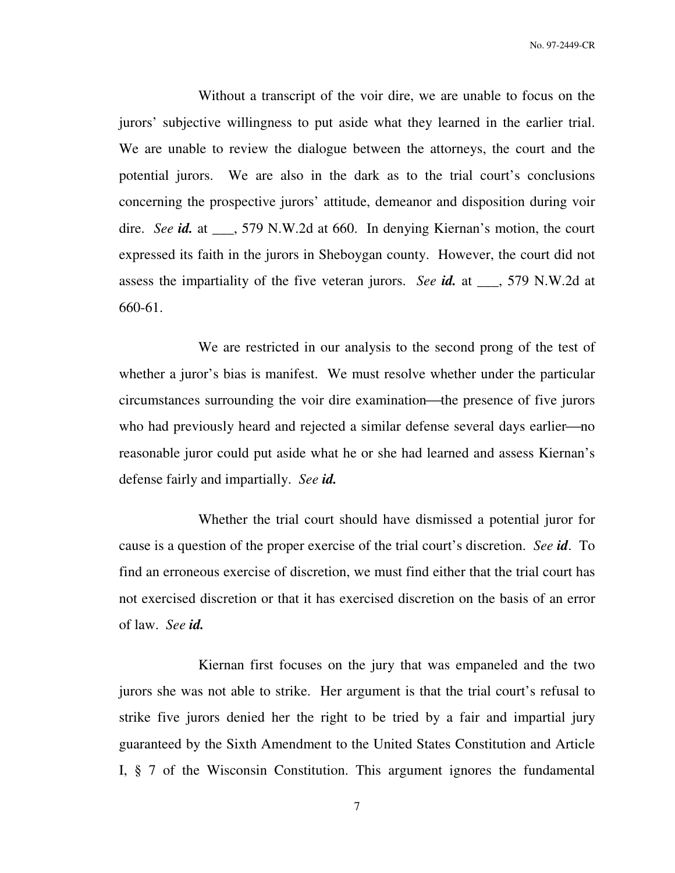No. 97-2449-CR

 Without a transcript of the voir dire, we are unable to focus on the jurors' subjective willingness to put aside what they learned in the earlier trial. We are unable to review the dialogue between the attorneys, the court and the potential jurors. We are also in the dark as to the trial court's conclusions concerning the prospective jurors' attitude, demeanor and disposition during voir dire. *See id.* at \_\_\_, 579 N.W.2d at 660. In denying Kiernan's motion, the court expressed its faith in the jurors in Sheboygan county. However, the court did not assess the impartiality of the five veteran jurors. *See id.* at \_\_\_, 579 N.W.2d at 660-61.

 We are restricted in our analysis to the second prong of the test of whether a juror's bias is manifest. We must resolve whether under the particular circumstances surrounding the voir dire examination—the presence of five jurors who had previously heard and rejected a similar defense several days earlier—no reasonable juror could put aside what he or she had learned and assess Kiernan's defense fairly and impartially. *See id.*

 Whether the trial court should have dismissed a potential juror for cause is a question of the proper exercise of the trial court's discretion. *See id*. To find an erroneous exercise of discretion, we must find either that the trial court has not exercised discretion or that it has exercised discretion on the basis of an error of law. *See id.*

 Kiernan first focuses on the jury that was empaneled and the two jurors she was not able to strike. Her argument is that the trial court's refusal to strike five jurors denied her the right to be tried by a fair and impartial jury guaranteed by the Sixth Amendment to the United States Constitution and Article I, § 7 of the Wisconsin Constitution. This argument ignores the fundamental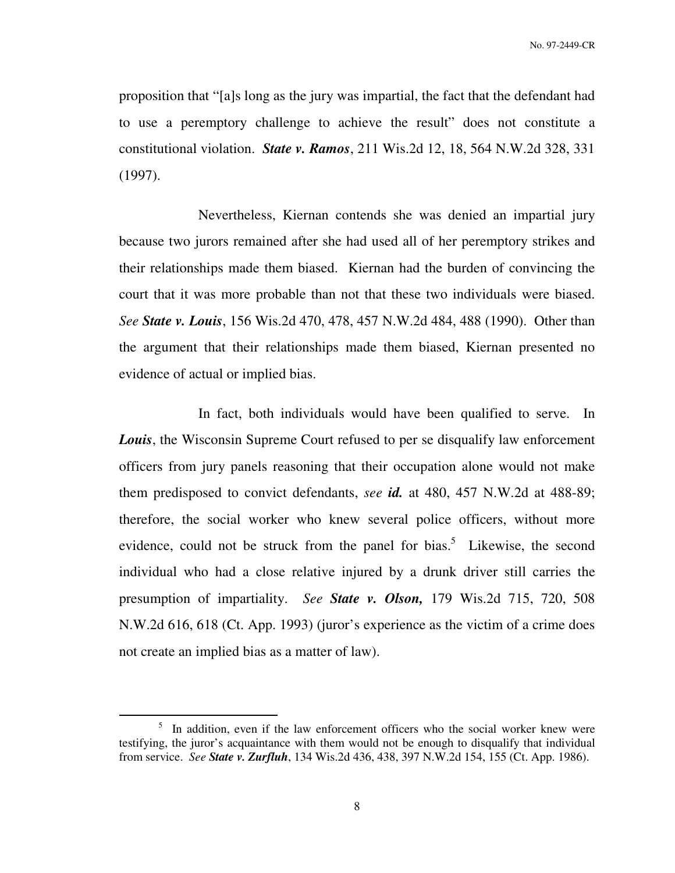proposition that "[a]s long as the jury was impartial, the fact that the defendant had to use a peremptory challenge to achieve the result" does not constitute a constitutional violation. *State v. Ramos*, 211 Wis.2d 12, 18, 564 N.W.2d 328, 331 (1997).

 Nevertheless, Kiernan contends she was denied an impartial jury because two jurors remained after she had used all of her peremptory strikes and their relationships made them biased. Kiernan had the burden of convincing the court that it was more probable than not that these two individuals were biased. *See State v. Louis*, 156 Wis.2d 470, 478, 457 N.W.2d 484, 488 (1990). Other than the argument that their relationships made them biased, Kiernan presented no evidence of actual or implied bias.

 In fact, both individuals would have been qualified to serve. In *Louis*, the Wisconsin Supreme Court refused to per se disqualify law enforcement officers from jury panels reasoning that their occupation alone would not make them predisposed to convict defendants, *see id.* at 480, 457 N.W.2d at 488-89; therefore, the social worker who knew several police officers, without more evidence, could not be struck from the panel for bias.<sup>5</sup> Likewise, the second individual who had a close relative injured by a drunk driver still carries the presumption of impartiality. *See State v. Olson,* 179 Wis.2d 715, 720, 508 N.W.2d 616, 618 (Ct. App. 1993) (juror's experience as the victim of a crime does not create an implied bias as a matter of law).

<sup>&</sup>lt;sup>5</sup> In addition, even if the law enforcement officers who the social worker knew were testifying, the juror's acquaintance with them would not be enough to disqualify that individual from service. *See State v. Zurfluh*, 134 Wis.2d 436, 438, 397 N.W.2d 154, 155 (Ct. App. 1986).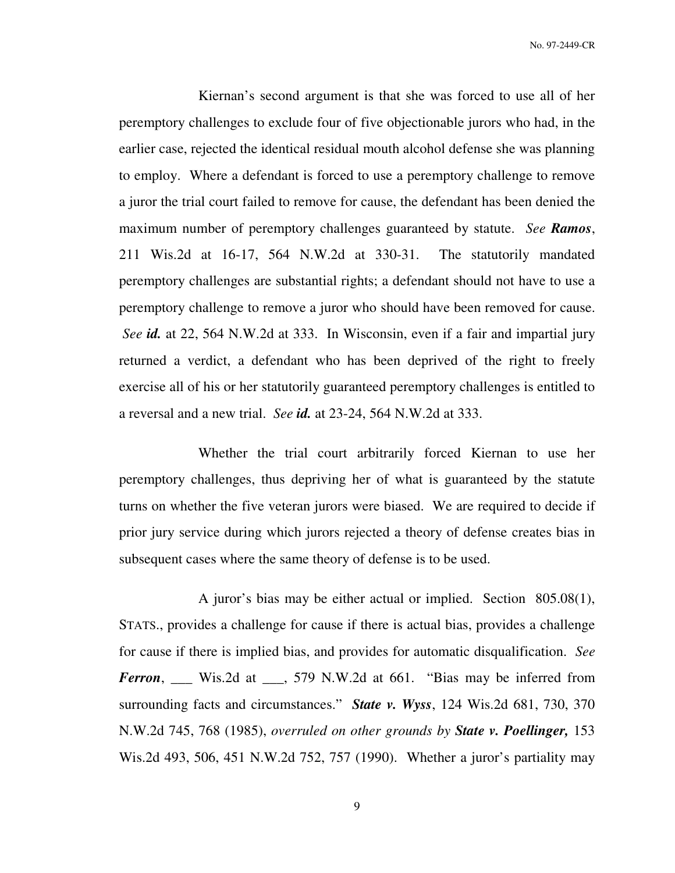No. 97-2449-CR

 Kiernan's second argument is that she was forced to use all of her peremptory challenges to exclude four of five objectionable jurors who had, in the earlier case, rejected the identical residual mouth alcohol defense she was planning to employ. Where a defendant is forced to use a peremptory challenge to remove a juror the trial court failed to remove for cause, the defendant has been denied the maximum number of peremptory challenges guaranteed by statute. *See Ramos*, 211 Wis.2d at 16-17, 564 N.W.2d at 330-31. The statutorily mandated peremptory challenges are substantial rights; a defendant should not have to use a peremptory challenge to remove a juror who should have been removed for cause. *See id.* at 22, 564 N.W.2d at 333. In Wisconsin, even if a fair and impartial jury returned a verdict, a defendant who has been deprived of the right to freely exercise all of his or her statutorily guaranteed peremptory challenges is entitled to a reversal and a new trial. *See id.* at 23-24, 564 N.W.2d at 333.

 Whether the trial court arbitrarily forced Kiernan to use her peremptory challenges, thus depriving her of what is guaranteed by the statute turns on whether the five veteran jurors were biased. We are required to decide if prior jury service during which jurors rejected a theory of defense creates bias in subsequent cases where the same theory of defense is to be used.

 A juror's bias may be either actual or implied. Section 805.08(1), STATS., provides a challenge for cause if there is actual bias, provides a challenge for cause if there is implied bias, and provides for automatic disqualification. *See Ferron*, \_\_\_ Wis.2d at \_\_\_, 579 N.W.2d at 661. "Bias may be inferred from surrounding facts and circumstances." *State v. Wyss*, 124 Wis.2d 681, 730, 370 N.W.2d 745, 768 (1985), *overruled on other grounds by State v. Poellinger,* 153 Wis.2d 493, 506, 451 N.W.2d 752, 757 (1990). Whether a juror's partiality may

9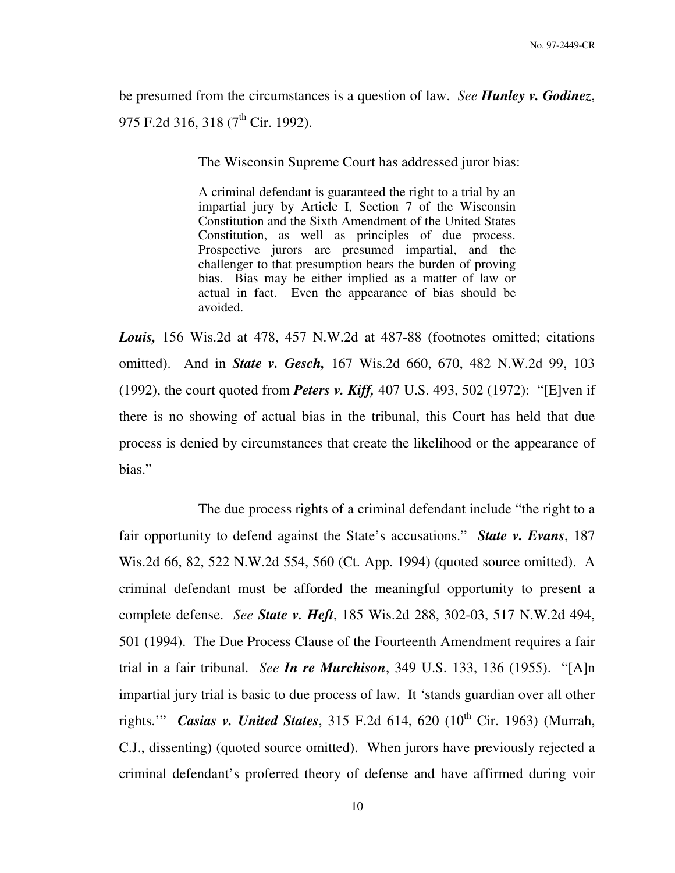be presumed from the circumstances is a question of law. *See Hunley v. Godinez*, 975 F.2d 316, 318 (7<sup>th</sup> Cir. 1992).

The Wisconsin Supreme Court has addressed juror bias:

A criminal defendant is guaranteed the right to a trial by an impartial jury by Article I, Section 7 of the Wisconsin Constitution and the Sixth Amendment of the United States Constitution, as well as principles of due process. Prospective jurors are presumed impartial, and the challenger to that presumption bears the burden of proving bias. Bias may be either implied as a matter of law or actual in fact. Even the appearance of bias should be avoided.

*Louis,* 156 Wis.2d at 478, 457 N.W.2d at 487-88 (footnotes omitted; citations omitted). And in *State v. Gesch,* 167 Wis.2d 660, 670, 482 N.W.2d 99, 103 (1992), the court quoted from *Peters v. Kiff,* 407 U.S. 493, 502 (1972): "[E]ven if there is no showing of actual bias in the tribunal, this Court has held that due process is denied by circumstances that create the likelihood or the appearance of bias."

 The due process rights of a criminal defendant include "the right to a fair opportunity to defend against the State's accusations." *State v. Evans*, 187 Wis.2d 66, 82, 522 N.W.2d 554, 560 (Ct. App. 1994) (quoted source omitted). A criminal defendant must be afforded the meaningful opportunity to present a complete defense. *See State v. Heft*, 185 Wis.2d 288, 302-03, 517 N.W.2d 494, 501 (1994). The Due Process Clause of the Fourteenth Amendment requires a fair trial in a fair tribunal. *See In re Murchison*, 349 U.S. 133, 136 (1955). "[A]n impartial jury trial is basic to due process of law. It 'stands guardian over all other rights." **Casias v. United States**, 315 F.2d 614, 620 ( $10<sup>th</sup>$  Cir. 1963) (Murrah, C.J., dissenting) (quoted source omitted). When jurors have previously rejected a criminal defendant's proferred theory of defense and have affirmed during voir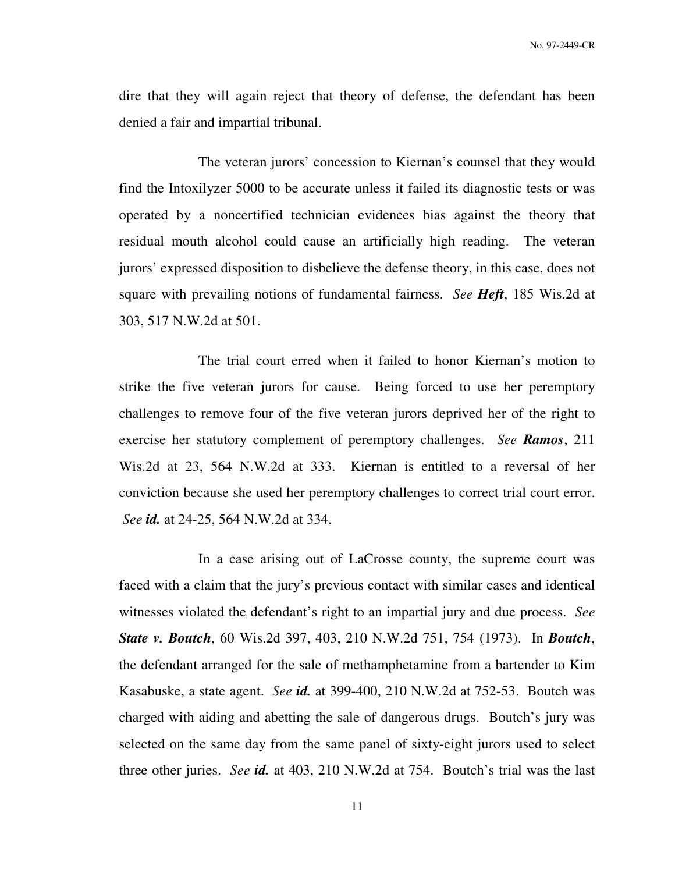dire that they will again reject that theory of defense, the defendant has been denied a fair and impartial tribunal.

 The veteran jurors' concession to Kiernan's counsel that they would find the Intoxilyzer 5000 to be accurate unless it failed its diagnostic tests or was operated by a noncertified technician evidences bias against the theory that residual mouth alcohol could cause an artificially high reading. The veteran jurors' expressed disposition to disbelieve the defense theory, in this case, does not square with prevailing notions of fundamental fairness. *See Heft*, 185 Wis.2d at 303, 517 N.W.2d at 501.

 The trial court erred when it failed to honor Kiernan's motion to strike the five veteran jurors for cause. Being forced to use her peremptory challenges to remove four of the five veteran jurors deprived her of the right to exercise her statutory complement of peremptory challenges. *See Ramos*, 211 Wis.2d at 23, 564 N.W.2d at 333. Kiernan is entitled to a reversal of her conviction because she used her peremptory challenges to correct trial court error. *See id.* at 24-25, 564 N.W.2d at 334.

 In a case arising out of LaCrosse county, the supreme court was faced with a claim that the jury's previous contact with similar cases and identical witnesses violated the defendant's right to an impartial jury and due process. *See State v. Boutch*, 60 Wis.2d 397, 403, 210 N.W.2d 751, 754 (1973). In *Boutch*, the defendant arranged for the sale of methamphetamine from a bartender to Kim Kasabuske, a state agent. *See id.* at 399-400, 210 N.W.2d at 752-53. Boutch was charged with aiding and abetting the sale of dangerous drugs. Boutch's jury was selected on the same day from the same panel of sixty-eight jurors used to select three other juries. *See id.* at 403, 210 N.W.2d at 754. Boutch's trial was the last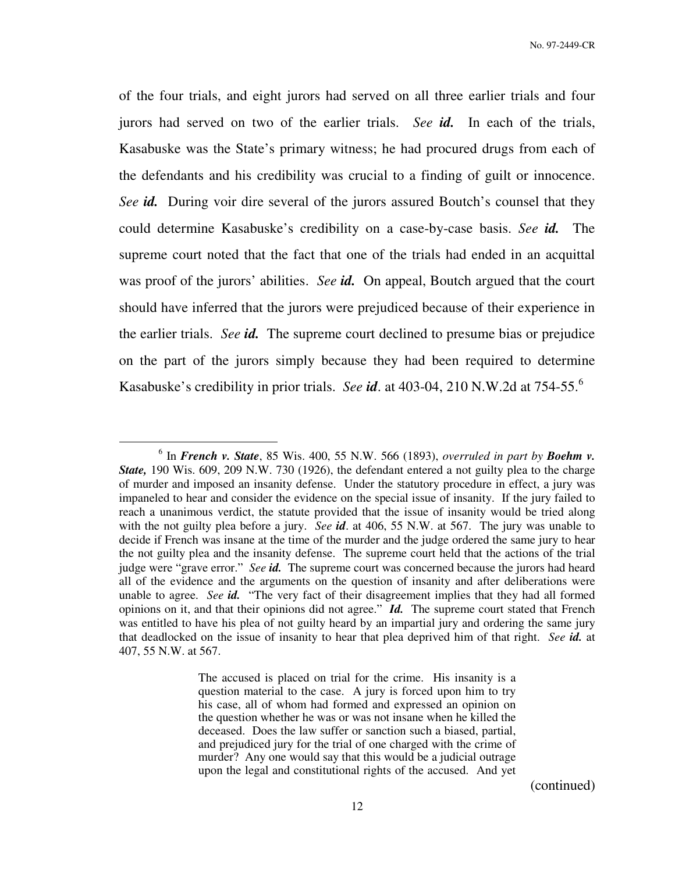of the four trials, and eight jurors had served on all three earlier trials and four jurors had served on two of the earlier trials. *See id.* In each of the trials, Kasabuske was the State's primary witness; he had procured drugs from each of the defendants and his credibility was crucial to a finding of guilt or innocence. *See id.* During voir dire several of the jurors assured Boutch's counsel that they could determine Kasabuske's credibility on a case-by-case basis. *See id.* The supreme court noted that the fact that one of the trials had ended in an acquittal was proof of the jurors' abilities. *See id.* On appeal, Boutch argued that the court should have inferred that the jurors were prejudiced because of their experience in the earlier trials. *See id.* The supreme court declined to presume bias or prejudice on the part of the jurors simply because they had been required to determine Kasabuske's credibility in prior trials. *See id*. at 403-04, 210 N.W.2d at 754-55.<sup>6</sup>

 $\overline{a}$ 

(continued)

<sup>6</sup> In *French v. State*, 85 Wis. 400, 55 N.W. 566 (1893), *overruled in part by Boehm v. State,* 190 Wis. 609, 209 N.W. 730 (1926), the defendant entered a not guilty plea to the charge of murder and imposed an insanity defense. Under the statutory procedure in effect, a jury was impaneled to hear and consider the evidence on the special issue of insanity. If the jury failed to reach a unanimous verdict, the statute provided that the issue of insanity would be tried along with the not guilty plea before a jury. *See id*. at 406, 55 N.W. at 567. The jury was unable to decide if French was insane at the time of the murder and the judge ordered the same jury to hear the not guilty plea and the insanity defense. The supreme court held that the actions of the trial judge were "grave error." *See id.* The supreme court was concerned because the jurors had heard all of the evidence and the arguments on the question of insanity and after deliberations were unable to agree. *See id.* "The very fact of their disagreement implies that they had all formed opinions on it, and that their opinions did not agree." *Id.* The supreme court stated that French was entitled to have his plea of not guilty heard by an impartial jury and ordering the same jury that deadlocked on the issue of insanity to hear that plea deprived him of that right. *See id.* at 407, 55 N.W. at 567.

The accused is placed on trial for the crime. His insanity is a question material to the case. A jury is forced upon him to try his case, all of whom had formed and expressed an opinion on the question whether he was or was not insane when he killed the deceased. Does the law suffer or sanction such a biased, partial, and prejudiced jury for the trial of one charged with the crime of murder? Any one would say that this would be a judicial outrage upon the legal and constitutional rights of the accused. And yet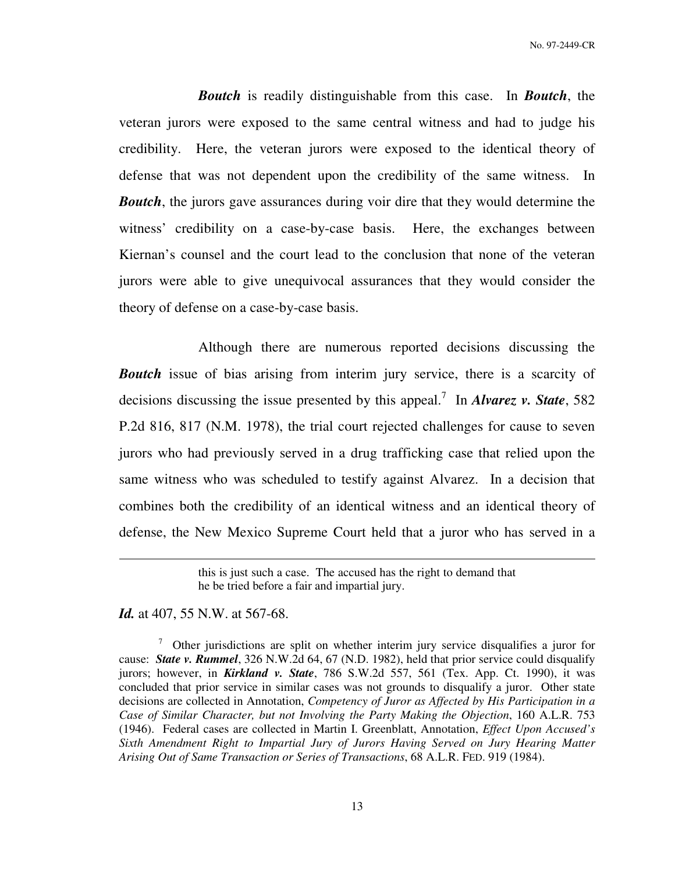No. 97-2449-CR

*Boutch* is readily distinguishable from this case. In *Boutch*, the veteran jurors were exposed to the same central witness and had to judge his credibility. Here, the veteran jurors were exposed to the identical theory of defense that was not dependent upon the credibility of the same witness. In *Boutch*, the jurors gave assurances during voir dire that they would determine the witness' credibility on a case-by-case basis. Here, the exchanges between Kiernan's counsel and the court lead to the conclusion that none of the veteran jurors were able to give unequivocal assurances that they would consider the theory of defense on a case-by-case basis.

 Although there are numerous reported decisions discussing the *Boutch* issue of bias arising from interim jury service, there is a scarcity of decisions discussing the issue presented by this appeal.<sup>7</sup> In *Alvarez v. State*, 582 P.2d 816, 817 (N.M. 1978), the trial court rejected challenges for cause to seven jurors who had previously served in a drug trafficking case that relied upon the same witness who was scheduled to testify against Alvarez. In a decision that combines both the credibility of an identical witness and an identical theory of defense, the New Mexico Supreme Court held that a juror who has served in a

*Id.* at 407, 55 N.W. at 567-68.

 $\overline{a}$ 

 $\frac{7}{10}$  Other jurisdictions are split on whether interim jury service disqualifies a juror for cause: *State v. Rummel*, 326 N.W.2d 64, 67 (N.D. 1982), held that prior service could disqualify jurors; however, in *Kirkland v. State*, 786 S.W.2d 557, 561 (Tex. App. Ct. 1990), it was concluded that prior service in similar cases was not grounds to disqualify a juror. Other state decisions are collected in Annotation, *Competency of Juror as Affected by His Participation in a Case of Similar Character, but not Involving the Party Making the Objection*, 160 A.L.R. 753 (1946). Federal cases are collected in Martin I. Greenblatt, Annotation, *Effect Upon Accused's Sixth Amendment Right to Impartial Jury of Jurors Having Served on Jury Hearing Matter Arising Out of Same Transaction or Series of Transactions*, 68 A.L.R. FED. 919 (1984).

this is just such a case. The accused has the right to demand that he be tried before a fair and impartial jury.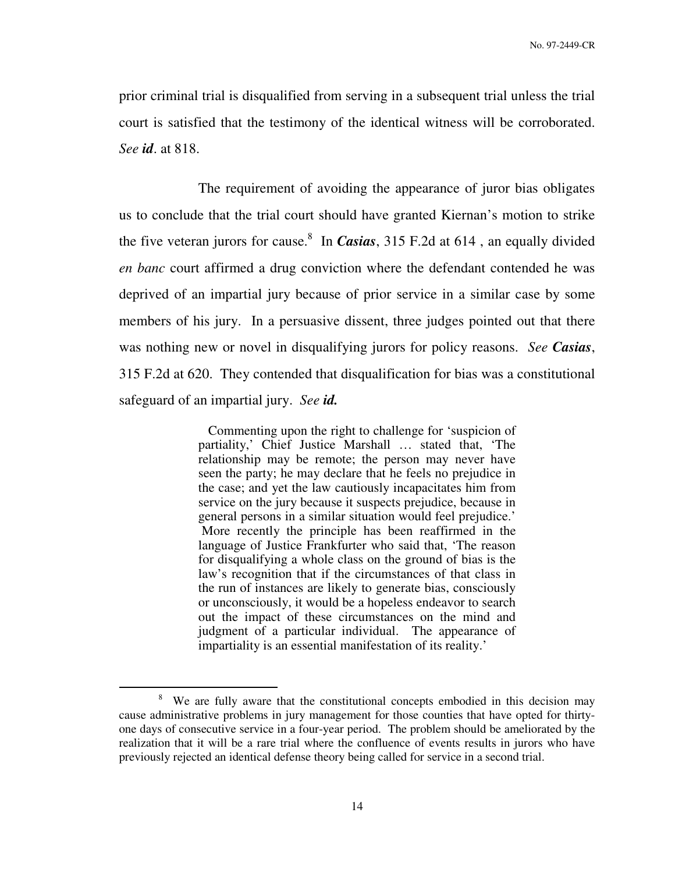prior criminal trial is disqualified from serving in a subsequent trial unless the trial court is satisfied that the testimony of the identical witness will be corroborated. *See id*. at 818.

 The requirement of avoiding the appearance of juror bias obligates us to conclude that the trial court should have granted Kiernan's motion to strike the five veteran jurors for cause.<sup>8</sup> In *Casias*, 315 F.2d at 614, an equally divided *en banc* court affirmed a drug conviction where the defendant contended he was deprived of an impartial jury because of prior service in a similar case by some members of his jury. In a persuasive dissent, three judges pointed out that there was nothing new or novel in disqualifying jurors for policy reasons. *See Casias*, 315 F.2d at 620. They contended that disqualification for bias was a constitutional safeguard of an impartial jury. *See id.*

> Commenting upon the right to challenge for 'suspicion of partiality,' Chief Justice Marshall … stated that, 'The relationship may be remote; the person may never have seen the party; he may declare that he feels no prejudice in the case; and yet the law cautiously incapacitates him from service on the jury because it suspects prejudice, because in general persons in a similar situation would feel prejudice.' More recently the principle has been reaffirmed in the language of Justice Frankfurter who said that, 'The reason for disqualifying a whole class on the ground of bias is the law's recognition that if the circumstances of that class in the run of instances are likely to generate bias, consciously or unconsciously, it would be a hopeless endeavor to search out the impact of these circumstances on the mind and judgment of a particular individual. The appearance of impartiality is an essential manifestation of its reality.'

<sup>&</sup>lt;sup>8</sup> We are fully aware that the constitutional concepts embodied in this decision may cause administrative problems in jury management for those counties that have opted for thirtyone days of consecutive service in a four-year period. The problem should be ameliorated by the realization that it will be a rare trial where the confluence of events results in jurors who have previously rejected an identical defense theory being called for service in a second trial.